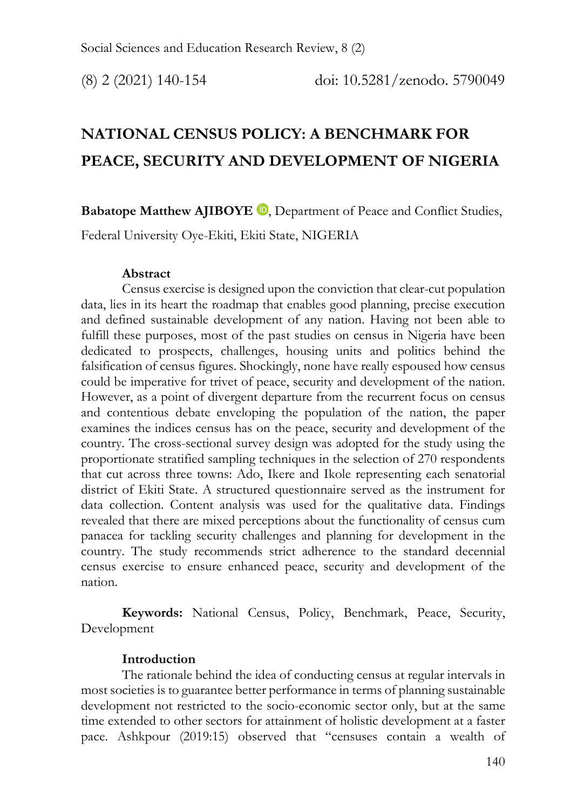# **NATIONAL CENSUS POLICY: A BENCHMARK FOR PEACE, SECURITY AND DEVELOPMENT OF NIGERIA**

**Babatope Matthew AJIBOYE D**, Department of Peace and Conflict Studies,

Federal University Oye-Ekiti, Ekiti State, NIGERIA

#### **Abstract**

Census exercise is designed upon the conviction that clear-cut population data, lies in its heart the roadmap that enables good planning, precise execution and defined sustainable development of any nation. Having not been able to fulfill these purposes, most of the past studies on census in Nigeria have been dedicated to prospects, challenges, housing units and politics behind the falsification of census figures. Shockingly, none have really espoused how census could be imperative for trivet of peace, security and development of the nation. However, as a point of divergent departure from the recurrent focus on census and contentious debate enveloping the population of the nation, the paper examines the indices census has on the peace, security and development of the country. The cross-sectional survey design was adopted for the study using the proportionate stratified sampling techniques in the selection of 270 respondents that cut across three towns: Ado, Ikere and Ikole representing each senatorial district of Ekiti State. A structured questionnaire served as the instrument for data collection. Content analysis was used for the qualitative data. Findings revealed that there are mixed perceptions about the functionality of census cum panacea for tackling security challenges and planning for development in the country. The study recommends strict adherence to the standard decennial census exercise to ensure enhanced peace, security and development of the nation.

**Keywords:** National Census, Policy, Benchmark, Peace, Security, Development

#### **Introduction**

The rationale behind the idea of conducting census at regular intervals in most societies is to guarantee better performance in terms of planning sustainable development not restricted to the socio-economic sector only, but at the same time extended to other sectors for attainment of holistic development at a faster pace. Ashkpour (2019:15) observed that "censuses contain a wealth of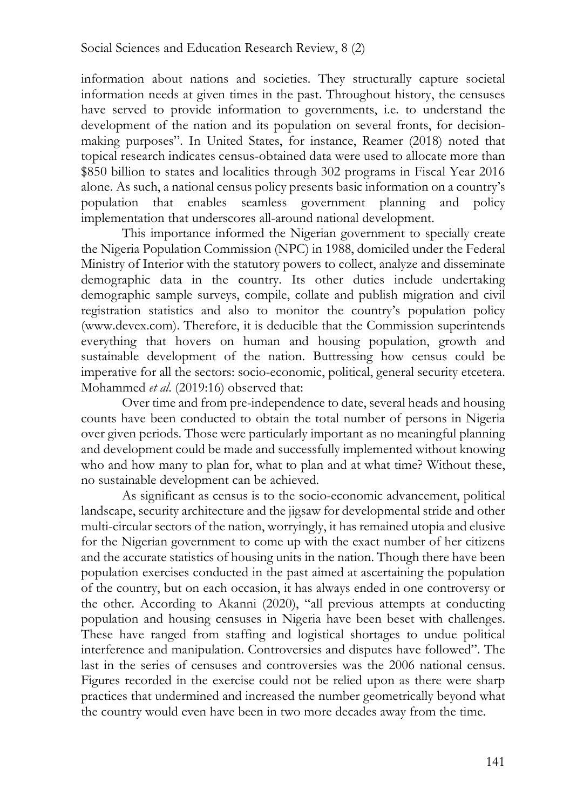information about nations and societies. They structurally capture societal information needs at given times in the past. Throughout history, the censuses have served to provide information to governments, i.e. to understand the development of the nation and its population on several fronts, for decisionmaking purposes". In United States, for instance, Reamer (2018) noted that topical research indicates census-obtained data were used to allocate more than \$850 billion to states and localities through 302 programs in Fiscal Year 2016 alone. As such, a national census policy presents basic information on a country's population that enables seamless government planning and policy implementation that underscores all-around national development.

This importance informed the Nigerian government to specially create the Nigeria Population Commission (NPC) in 1988, domiciled under the Federal Ministry of Interior with the statutory powers to collect, analyze and disseminate demographic data in the country. Its other duties include undertaking demographic sample surveys, compile, collate and publish migration and civil registration statistics and also to monitor the country's population policy (www.devex.com). Therefore, it is deducible that the Commission superintends everything that hovers on human and housing population, growth and sustainable development of the nation. Buttressing how census could be imperative for all the sectors: socio-economic, political, general security etcetera. Mohammed *et al*. (2019:16) observed that:

Over time and from pre-independence to date, several heads and housing counts have been conducted to obtain the total number of persons in Nigeria over given periods. Those were particularly important as no meaningful planning and development could be made and successfully implemented without knowing who and how many to plan for, what to plan and at what time? Without these, no sustainable development can be achieved.

As significant as census is to the socio-economic advancement, political landscape, security architecture and the jigsaw for developmental stride and other multi-circular sectors of the nation, worryingly, it has remained utopia and elusive for the Nigerian government to come up with the exact number of her citizens and the accurate statistics of housing units in the nation. Though there have been population exercises conducted in the past aimed at ascertaining the population of the country, but on each occasion, it has always ended in one controversy or the other. According to Akanni (2020), "all previous attempts at conducting population and housing censuses in Nigeria have been beset with challenges. These have ranged from staffing and logistical shortages to undue political interference and manipulation. Controversies and disputes have followed". The last in the series of censuses and controversies was the 2006 national census. Figures recorded in the exercise could not be relied upon as there were sharp practices that undermined and increased the number geometrically beyond what the country would even have been in two more decades away from the time.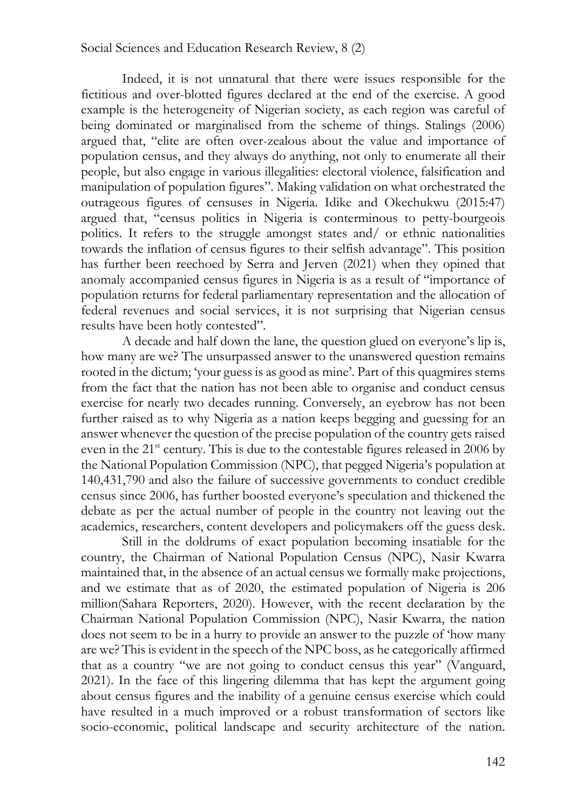Indeed, it is not unnatural that there were issues responsible for the fictitious and over-blotted figures declared at the end of the exercise. A good example is the heterogeneity of Nigerian society, as each region was careful of being dominated or marginalised from the scheme of things. Stalings (2006) argued that, "elite are often over-zealous about the value and importance of population census, and they always do anything, not only to enumerate all their people, but also engage in various illegalities: electoral violence, falsification and manipulation of population figures". Making validation on what orchestrated the outrageous figures of censuses in Nigeria. Idike and Okechukwu (2015:47) argued that, "census politics in Nigeria is conterminous to petty-bourgeois politics. It refers to the struggle amongst states and/ or ethnic nationalities towards the inflation of census figures to their selfish advantage". This position has further been reechoed by Serra and Jerven (2021) when they opined that anomaly accompanied census figures in Nigeria is as a result of "importance of population returns for federal parliamentary representation and the allocation of federal revenues and social services, it is not surprising that Nigerian census results have been hotly contested".

A decade and half down the lane, the question glued on everyone's lip is, how many are we? The unsurpassed answer to the unanswered question remains rooted in the dictum; 'your guess is as good as mine'. Part of this quagmires stems from the fact that the nation has not been able to organise and conduct census exercise for nearly two decades running. Conversely, an eyebrow has not been further raised as to why Nigeria as a nation keeps begging and guessing for an answer whenever the question of the precise population of the country gets raised even in the 21<sup>st</sup> century. This is due to the contestable figures released in 2006 by the National Population Commission (NPC), that pegged Nigeria's population at 140,431,790 and also the failure of successive governments to conduct credible census since 2006, has further boosted everyone's speculation and thickened the debate as per the actual number of people in the country not leaving out the academics, researchers, content developers and policymakers off the guess desk.

Still in the doldrums of exact population becoming insatiable for the country, the Chairman of National Population Census (NPC), Nasir Kwarra maintained that, in the absence of an actual census we formally make projections, and we estimate that as of 2020, the estimated population of Nigeria is 206 million(Sahara Reporters, 2020). However, with the recent declaration by the Chairman National Population Commission (NPC), Nasir Kwarra, the nation does not seem to be in a hurry to provide an answer to the puzzle of 'how many are we? This is evident in the speech of the NPC boss, as he categorically affirmed that as a country "we are not going to conduct census this year" (Vanguard, 2021). In the face of this lingering dilemma that has kept the argument going about census figures and the inability of a genuine census exercise which could have resulted in a much improved or a robust transformation of sectors like socio-economic, political landscape and security architecture of the nation.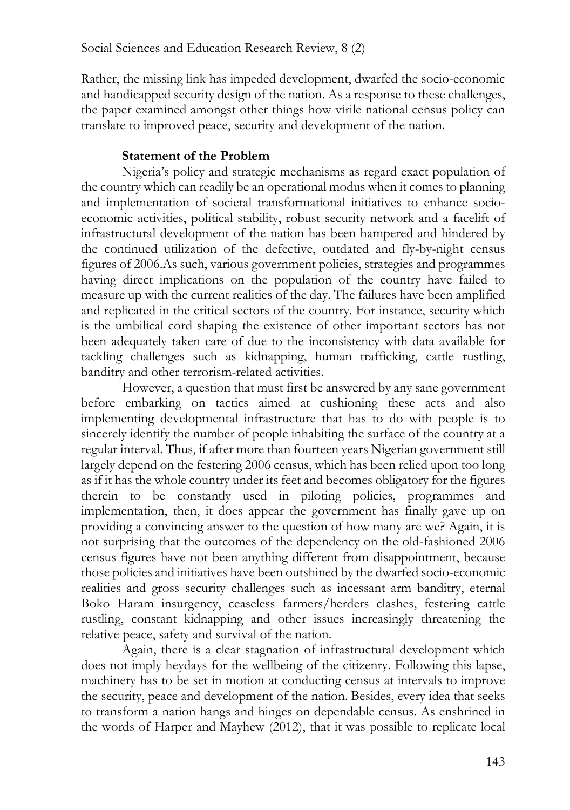Rather, the missing link has impeded development, dwarfed the socio-economic and handicapped security design of the nation. As a response to these challenges, the paper examined amongst other things how virile national census policy can translate to improved peace, security and development of the nation.

## **Statement of the Problem**

Nigeria's policy and strategic mechanisms as regard exact population of the country which can readily be an operational modus when it comes to planning and implementation of societal transformational initiatives to enhance socioeconomic activities, political stability, robust security network and a facelift of infrastructural development of the nation has been hampered and hindered by the continued utilization of the defective, outdated and fly-by-night census figures of 2006.As such, various government policies, strategies and programmes having direct implications on the population of the country have failed to measure up with the current realities of the day. The failures have been amplified and replicated in the critical sectors of the country. For instance, security which is the umbilical cord shaping the existence of other important sectors has not been adequately taken care of due to the inconsistency with data available for tackling challenges such as kidnapping, human trafficking, cattle rustling, banditry and other terrorism-related activities.

However, a question that must first be answered by any sane government before embarking on tactics aimed at cushioning these acts and also implementing developmental infrastructure that has to do with people is to sincerely identify the number of people inhabiting the surface of the country at a regular interval. Thus, if after more than fourteen years Nigerian government still largely depend on the festering 2006 census, which has been relied upon too long as if it has the whole country under its feet and becomes obligatory for the figures therein to be constantly used in piloting policies, programmes and implementation, then, it does appear the government has finally gave up on providing a convincing answer to the question of how many are we? Again, it is not surprising that the outcomes of the dependency on the old-fashioned 2006 census figures have not been anything different from disappointment, because those policies and initiatives have been outshined by the dwarfed socio-economic realities and gross security challenges such as incessant arm banditry, eternal Boko Haram insurgency, ceaseless farmers/herders clashes, festering cattle rustling, constant kidnapping and other issues increasingly threatening the relative peace, safety and survival of the nation.

Again, there is a clear stagnation of infrastructural development which does not imply heydays for the wellbeing of the citizenry. Following this lapse, machinery has to be set in motion at conducting census at intervals to improve the security, peace and development of the nation. Besides, every idea that seeks to transform a nation hangs and hinges on dependable census. As enshrined in the words of Harper and Mayhew (2012), that it was possible to replicate local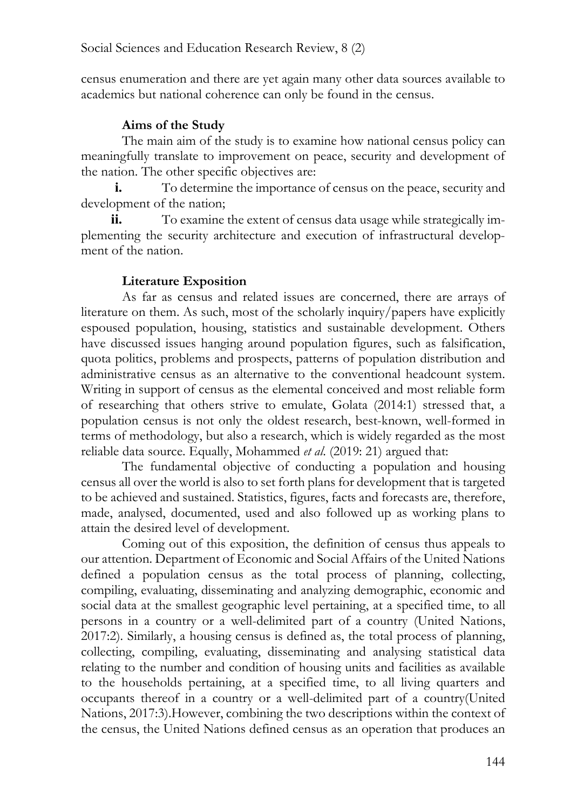census enumeration and there are yet again many other data sources available to academics but national coherence can only be found in the census.

# **Aims of the Study**

The main aim of the study is to examine how national census policy can meaningfully translate to improvement on peace, security and development of the nation. The other specific objectives are:

**i.** To determine the importance of census on the peace, security and development of the nation;

**ii.** To examine the extent of census data usage while strategically implementing the security architecture and execution of infrastructural development of the nation.

## **Literature Exposition**

As far as census and related issues are concerned, there are arrays of literature on them. As such, most of the scholarly inquiry/papers have explicitly espoused population, housing, statistics and sustainable development. Others have discussed issues hanging around population figures, such as falsification, quota politics, problems and prospects, patterns of population distribution and administrative census as an alternative to the conventional headcount system. Writing in support of census as the elemental conceived and most reliable form of researching that others strive to emulate, Golata (2014:1) stressed that, a population census is not only the oldest research, best-known, well-formed in terms of methodology, but also a research, which is widely regarded as the most reliable data source. Equally, Mohammed *et al*. (2019: 21) argued that:

The fundamental objective of conducting a population and housing census all over the world is also to set forth plans for development that is targeted to be achieved and sustained. Statistics, figures, facts and forecasts are, therefore, made, analysed, documented, used and also followed up as working plans to attain the desired level of development.

Coming out of this exposition, the definition of census thus appeals to our attention. Department of Economic and Social Affairs of the United Nations defined a population census as the total process of planning, collecting, compiling, evaluating, disseminating and analyzing demographic, economic and social data at the smallest geographic level pertaining, at a specified time, to all persons in a country or a well-delimited part of a country (United Nations, 2017:2). Similarly, a housing census is defined as, the total process of planning, collecting, compiling, evaluating, disseminating and analysing statistical data relating to the number and condition of housing units and facilities as available to the households pertaining, at a specified time, to all living quarters and occupants thereof in a country or a well-delimited part of a country(United Nations, 2017:3).However, combining the two descriptions within the context of the census, the United Nations defined census as an operation that produces an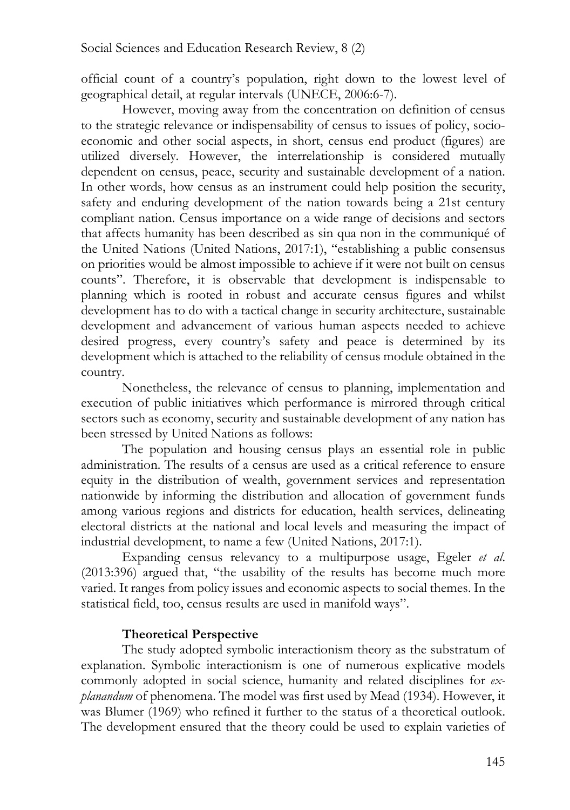official count of a country's population, right down to the lowest level of geographical detail, at regular intervals (UNECE, 2006:6-7).

However, moving away from the concentration on definition of census to the strategic relevance or indispensability of census to issues of policy, socioeconomic and other social aspects, in short, census end product (figures) are utilized diversely. However, the interrelationship is considered mutually dependent on census, peace, security and sustainable development of a nation. In other words, how census as an instrument could help position the security, safety and enduring development of the nation towards being a 21st century compliant nation. Census importance on a wide range of decisions and sectors that affects humanity has been described as sin qua non in the communiqué of the United Nations (United Nations, 2017:1), "establishing a public consensus on priorities would be almost impossible to achieve if it were not built on census counts". Therefore, it is observable that development is indispensable to planning which is rooted in robust and accurate census figures and whilst development has to do with a tactical change in security architecture, sustainable development and advancement of various human aspects needed to achieve desired progress, every country's safety and peace is determined by its development which is attached to the reliability of census module obtained in the country.

Nonetheless, the relevance of census to planning, implementation and execution of public initiatives which performance is mirrored through critical sectors such as economy, security and sustainable development of any nation has been stressed by United Nations as follows:

The population and housing census plays an essential role in public administration. The results of a census are used as a critical reference to ensure equity in the distribution of wealth, government services and representation nationwide by informing the distribution and allocation of government funds among various regions and districts for education, health services, delineating electoral districts at the national and local levels and measuring the impact of industrial development, to name a few (United Nations, 2017:1).

Expanding census relevancy to a multipurpose usage, Egeler *et al*. (2013:396) argued that, "the usability of the results has become much more varied. It ranges from policy issues and economic aspects to social themes. In the statistical field, too, census results are used in manifold ways".

## **Theoretical Perspective**

The study adopted symbolic interactionism theory as the substratum of explanation. Symbolic interactionism is one of numerous explicative models commonly adopted in social science, humanity and related disciplines for *explanandum* of phenomena. The model was first used by Mead (1934). However, it was Blumer (1969) who refined it further to the status of a theoretical outlook. The development ensured that the theory could be used to explain varieties of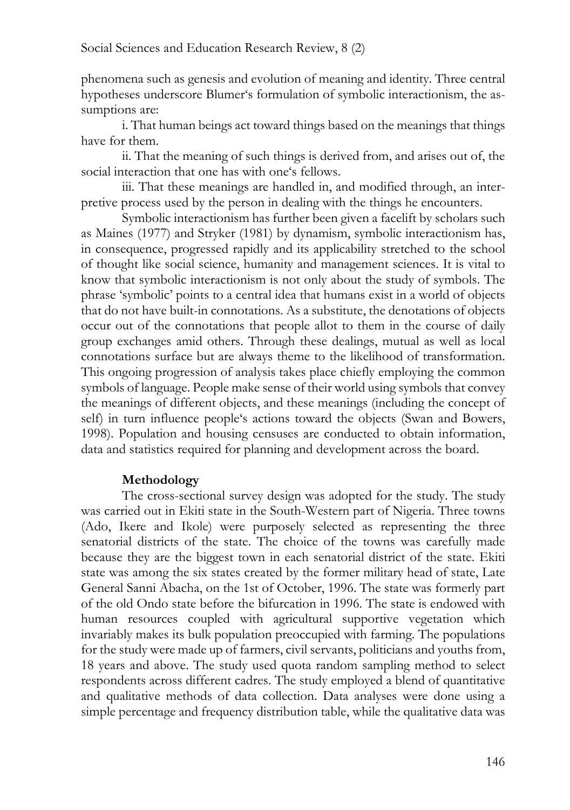phenomena such as genesis and evolution of meaning and identity. Three central hypotheses underscore Blumer's formulation of symbolic interactionism, the assumptions are:

i. That human beings act toward things based on the meanings that things have for them.

ii. That the meaning of such things is derived from, and arises out of, the social interaction that one has with one's fellows.

iii. That these meanings are handled in, and modified through, an interpretive process used by the person in dealing with the things he encounters.

Symbolic interactionism has further been given a facelift by scholars such as Maines (1977) and Stryker (1981) by dynamism, symbolic interactionism has, in consequence, progressed rapidly and its applicability stretched to the school of thought like social science, humanity and management sciences. It is vital to know that symbolic interactionism is not only about the study of symbols. The phrase 'symbolic' points to a central idea that humans exist in a world of objects that do not have built-in connotations. As a substitute, the denotations of objects occur out of the connotations that people allot to them in the course of daily group exchanges amid others. Through these dealings, mutual as well as local connotations surface but are always theme to the likelihood of transformation. This ongoing progression of analysis takes place chiefly employing the common symbols of language. People make sense of their world using symbols that convey the meanings of different objects, and these meanings (including the concept of self) in turn influence people's actions toward the objects (Swan and Bowers, 1998). Population and housing censuses are conducted to obtain information, data and statistics required for planning and development across the board.

#### **Methodology**

The cross-sectional survey design was adopted for the study. The study was carried out in Ekiti state in the South-Western part of Nigeria. Three towns (Ado, Ikere and Ikole) were purposely selected as representing the three senatorial districts of the state. The choice of the towns was carefully made because they are the biggest town in each senatorial district of the state. Ekiti state was among the six states created by the former military head of state, Late General Sanni Abacha, on the 1st of October, 1996. The state was formerly part of the old Ondo state before the bifurcation in 1996. The state is endowed with human resources coupled with agricultural supportive vegetation which invariably makes its bulk population preoccupied with farming. The populations for the study were made up of farmers, civil servants, politicians and youths from, 18 years and above. The study used quota random sampling method to select respondents across different cadres. The study employed a blend of quantitative and qualitative methods of data collection. Data analyses were done using a simple percentage and frequency distribution table, while the qualitative data was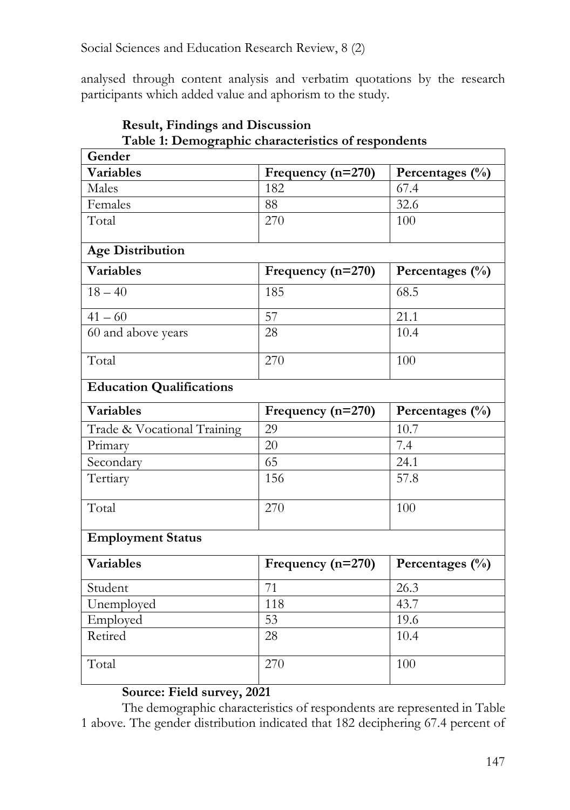analysed through content analysis and verbatim quotations by the research participants which added value and aphorism to the study.

| <b>Table 1. Demographic characteristics of respondents</b><br>Gender |                     |                             |  |  |
|----------------------------------------------------------------------|---------------------|-----------------------------|--|--|
| <b>Variables</b>                                                     | Frequency $(n=270)$ | Percentages $(\%$           |  |  |
| Males                                                                | 182                 | 67.4                        |  |  |
| Females                                                              | 88                  | 32.6                        |  |  |
| Total                                                                | 270                 | 100                         |  |  |
| <b>Age Distribution</b>                                              |                     |                             |  |  |
| Variables                                                            | Frequency $(n=270)$ | Percentages $(\frac{0}{0})$ |  |  |
| $18 - 40$                                                            | 185                 | 68.5                        |  |  |
| $41 - 60$                                                            | 57                  | 21.1                        |  |  |
| 60 and above years                                                   | 28                  | 10.4                        |  |  |
| Total                                                                | 270                 | 100                         |  |  |
| <b>Education Qualifications</b>                                      |                     |                             |  |  |
| <b>Variables</b>                                                     | Frequency (n=270)   | Percentages (%)             |  |  |
| Trade & Vocational Training                                          | 29                  | 10.7                        |  |  |
| Primary                                                              | 20                  | $\overline{7.4}$            |  |  |
| Secondary                                                            | 65                  | 24.1                        |  |  |
| Tertiary                                                             | 156                 | 57.8                        |  |  |
| Total                                                                | 270                 | 100                         |  |  |
| <b>Employment Status</b>                                             |                     |                             |  |  |
| Variables                                                            | Frequency $(n=270)$ | Percentages (%)             |  |  |
| Student                                                              | 71                  | 26.3                        |  |  |
| Unemployed                                                           | 118                 | 43.7                        |  |  |
| Employed                                                             | $\overline{53}$     | 19.6                        |  |  |
| Retired                                                              | 28                  | 10.4                        |  |  |
| Total                                                                | 270                 | 100                         |  |  |

#### **Result, Findings and Discussion Table 1: Demographic characteristics of respondents**

## **Source: Field survey, 2021**

The demographic characteristics of respondents are represented in Table 1 above. The gender distribution indicated that 182 deciphering 67.4 percent of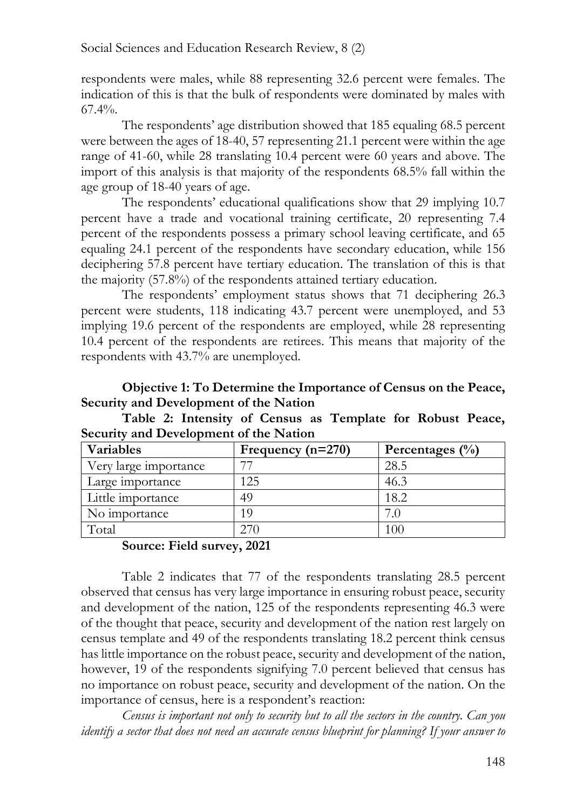respondents were males, while 88 representing 32.6 percent were females. The indication of this is that the bulk of respondents were dominated by males with 67.4%.

The respondents' age distribution showed that 185 equaling 68.5 percent were between the ages of 18-40, 57 representing 21.1 percent were within the age range of 41-60, while 28 translating 10.4 percent were 60 years and above. The import of this analysis is that majority of the respondents 68.5% fall within the age group of 18-40 years of age.

The respondents' educational qualifications show that 29 implying 10.7 percent have a trade and vocational training certificate, 20 representing 7.4 percent of the respondents possess a primary school leaving certificate, and 65 equaling 24.1 percent of the respondents have secondary education, while 156 deciphering 57.8 percent have tertiary education. The translation of this is that the majority (57.8%) of the respondents attained tertiary education.

The respondents' employment status shows that 71 deciphering 26.3 percent were students, 118 indicating 43.7 percent were unemployed, and 53 implying 19.6 percent of the respondents are employed, while 28 representing 10.4 percent of the respondents are retirees. This means that majority of the respondents with 43.7% are unemployed.

## **Objective 1: To Determine the Importance of Census on the Peace, Security and Development of the Nation**

|  |                                        |  | Table 2: Intensity of Census as Template for Robust Peace, |  |  |
|--|----------------------------------------|--|------------------------------------------------------------|--|--|
|  | Security and Development of the Nation |  |                                                            |  |  |

| <b>Variables</b>      | Frequency $(n=270)$ | Percentages $(\%$ |
|-----------------------|---------------------|-------------------|
| Very large importance |                     | 28.5              |
| Large importance      | ' 25                | 46.3              |
| Little importance     | 49                  | 18.2              |
| No importance         |                     | ⇁                 |
| Total                 |                     | 100               |

## **Source: Field survey, 2021**

Table 2 indicates that 77 of the respondents translating 28.5 percent observed that census has very large importance in ensuring robust peace, security and development of the nation, 125 of the respondents representing 46.3 were of the thought that peace, security and development of the nation rest largely on census template and 49 of the respondents translating 18.2 percent think census has little importance on the robust peace, security and development of the nation, however, 19 of the respondents signifying 7.0 percent believed that census has no importance on robust peace, security and development of the nation. On the importance of census, here is a respondent's reaction:

*Census is important not only to security but to all the sectors in the country. Can you identify a sector that does not need an accurate census blueprint for planning? If your answer to*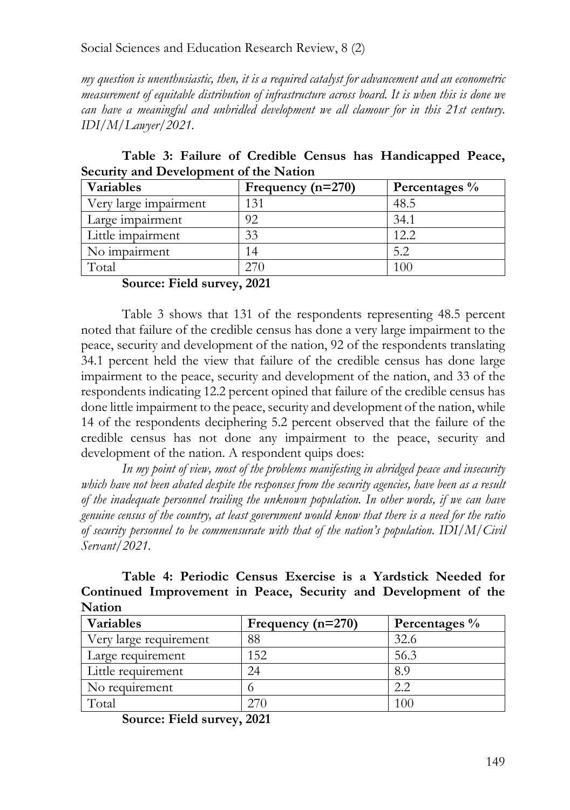*my question is unenthusiastic, then, it is a required catalyst for advancement and an econometric measurement of equitable distribution of infrastructure across board. It is when this is done we can have a meaningful and unbridled development we all clamour for in this 21st century. IDI/M/Lawyer/2021.*

**Table 3: Failure of Credible Census has Handicapped Peace, Security and Development of the Nation**

| Variables             | Frequency $(n=270)$ | Percentages % |
|-----------------------|---------------------|---------------|
| Very large impairment | 131                 | 48.5          |
| Large impairment      | 92                  | 34.1          |
| Little impairment     | 33                  | 12.2          |
| No impairment         | 4                   | 5.2           |
| Total                 |                     |               |

**Source: Field survey, 2021**

Table 3 shows that 131 of the respondents representing 48.5 percent noted that failure of the credible census has done a very large impairment to the peace, security and development of the nation, 92 of the respondents translating 34.1 percent held the view that failure of the credible census has done large impairment to the peace, security and development of the nation, and 33 of the respondents indicating 12.2 percent opined that failure of the credible census has done little impairment to the peace, security and development of the nation, while 14 of the respondents deciphering 5.2 percent observed that the failure of the credible census has not done any impairment to the peace, security and development of the nation. A respondent quips does:

*In my point of view, most of the problems manifesting in abridged peace and insecurity which have not been abated despite the responses from the security agencies, have been as a result of the inadequate personnel trailing the unknown population. In other words, if we can have genuine census of the country, at least government would know that there is a need for the ratio of security personnel to be commensurate with that of the nation's population. IDI/M/Civil Servant/2021.*

**Table 4: Periodic Census Exercise is a Yardstick Needed for Continued Improvement in Peace, Security and Development of the Nation**

| Variables              | Frequency $(n=270)$ | Percentages % |
|------------------------|---------------------|---------------|
| Very large requirement | 88                  | 32.6          |
| Large requirement      | 152                 | 56.3          |
| Little requirement     | 24                  | 8.9           |
| No requirement         |                     | ററ            |
| Fotal                  |                     |               |

**Source: Field survey, 2021**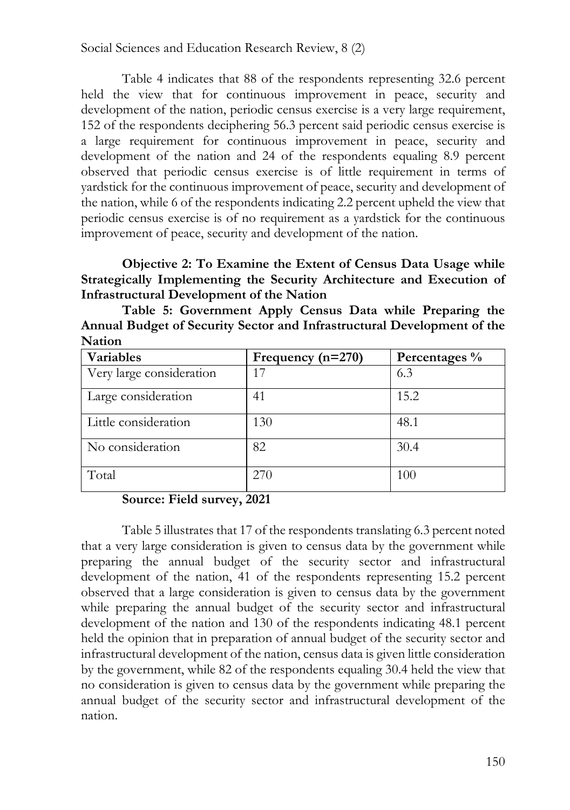Table 4 indicates that 88 of the respondents representing 32.6 percent held the view that for continuous improvement in peace, security and development of the nation, periodic census exercise is a very large requirement, 152 of the respondents deciphering 56.3 percent said periodic census exercise is a large requirement for continuous improvement in peace, security and development of the nation and 24 of the respondents equaling 8.9 percent observed that periodic census exercise is of little requirement in terms of yardstick for the continuous improvement of peace, security and development of the nation, while 6 of the respondents indicating 2.2 percent upheld the view that periodic census exercise is of no requirement as a yardstick for the continuous improvement of peace, security and development of the nation.

**Objective 2: To Examine the Extent of Census Data Usage while Strategically Implementing the Security Architecture and Execution of Infrastructural Development of the Nation**

| Variables                | Frequency $(n=270)$ | Percentages % |
|--------------------------|---------------------|---------------|
| Very large consideration | 17                  | 6.3           |
| Large consideration      | 41                  | 15.2          |
| Little consideration     | 130                 | 48.1          |
| No consideration         | 82                  | 30.4          |
| Total                    | 270                 | 100           |

**Table 5: Government Apply Census Data while Preparing the Annual Budget of Security Sector and Infrastructural Development of the Nation**

#### **Source: Field survey, 2021**

Table 5 illustrates that 17 of the respondents translating 6.3 percent noted that a very large consideration is given to census data by the government while preparing the annual budget of the security sector and infrastructural development of the nation, 41 of the respondents representing 15.2 percent observed that a large consideration is given to census data by the government while preparing the annual budget of the security sector and infrastructural development of the nation and 130 of the respondents indicating 48.1 percent held the opinion that in preparation of annual budget of the security sector and infrastructural development of the nation, census data is given little consideration by the government, while 82 of the respondents equaling 30.4 held the view that no consideration is given to census data by the government while preparing the annual budget of the security sector and infrastructural development of the nation.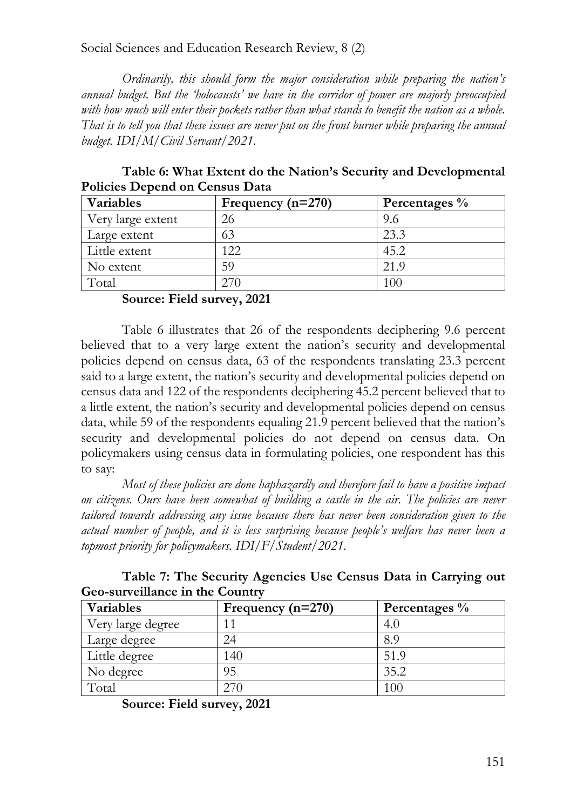*Ordinarily, this should form the major consideration while preparing the nation's annual budget. But the 'holocausts' we have in the corridor of power are majorly preoccupied with how much will enter their pockets rather than what stands to benefit the nation as a whole. That is to tell you that these issues are never put on the front burner while preparing the annual budget. IDI/M/Civil Servant/2021.*

**Table 6: What Extent do the Nation's Security and Developmental Policies Depend on Census Data**

| Variables         | Frequency $(n=270)$ | Percentages % |
|-------------------|---------------------|---------------|
| Very large extent | 26                  | 9.6           |
| Large extent      | 63                  | 23.3          |
| Little extent     | 122                 | 45.2          |
| No extent         | 59                  | 21.9          |
| Total             |                     |               |

**Source: Field survey, 2021**

Table 6 illustrates that 26 of the respondents deciphering 9.6 percent believed that to a very large extent the nation's security and developmental policies depend on census data, 63 of the respondents translating 23.3 percent said to a large extent, the nation's security and developmental policies depend on census data and 122 of the respondents deciphering 45.2 percent believed that to a little extent, the nation's security and developmental policies depend on census data, while 59 of the respondents equaling 21.9 percent believed that the nation's security and developmental policies do not depend on census data. On policymakers using census data in formulating policies, one respondent has this to say:

*Most of these policies are done haphazardly and therefore fail to have a positive impact on citizens. Ours have been somewhat of building a castle in the air. The policies are never tailored towards addressing any issue because there has never been consideration given to the actual number of people, and it is less surprising because people's welfare has never been a topmost priority for policymakers. IDI/F/Student/2021.*

**Table 7: The Security Agencies Use Census Data in Carrying out Geo-surveillance in the Country**

| Variables         | Frequency $(n=270)$ | Percentages % |
|-------------------|---------------------|---------------|
| Very large degree | 11                  | 4.0           |
| Large degree      | 24                  | 8.9           |
| Little degree     | 140                 | 51.9          |
| No degree         | 95                  | 35.2          |
| Total             | 270                 | 100           |

**Source: Field survey, 2021**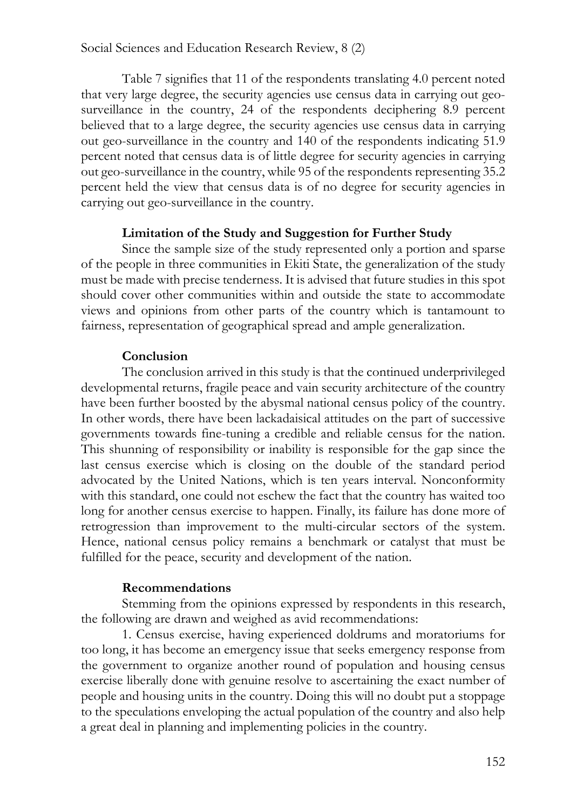Table 7 signifies that 11 of the respondents translating 4.0 percent noted that very large degree, the security agencies use census data in carrying out geosurveillance in the country, 24 of the respondents deciphering 8.9 percent believed that to a large degree, the security agencies use census data in carrying out geo-surveillance in the country and 140 of the respondents indicating 51.9 percent noted that census data is of little degree for security agencies in carrying out geo-surveillance in the country, while 95 of the respondents representing 35.2 percent held the view that census data is of no degree for security agencies in carrying out geo-surveillance in the country.

#### **Limitation of the Study and Suggestion for Further Study**

Since the sample size of the study represented only a portion and sparse of the people in three communities in Ekiti State, the generalization of the study must be made with precise tenderness. It is advised that future studies in this spot should cover other communities within and outside the state to accommodate views and opinions from other parts of the country which is tantamount to fairness, representation of geographical spread and ample generalization.

## **Conclusion**

The conclusion arrived in this study is that the continued underprivileged developmental returns, fragile peace and vain security architecture of the country have been further boosted by the abysmal national census policy of the country. In other words, there have been lackadaisical attitudes on the part of successive governments towards fine-tuning a credible and reliable census for the nation. This shunning of responsibility or inability is responsible for the gap since the last census exercise which is closing on the double of the standard period advocated by the United Nations, which is ten years interval. Nonconformity with this standard, one could not eschew the fact that the country has waited too long for another census exercise to happen. Finally, its failure has done more of retrogression than improvement to the multi-circular sectors of the system. Hence, national census policy remains a benchmark or catalyst that must be fulfilled for the peace, security and development of the nation.

## **Recommendations**

Stemming from the opinions expressed by respondents in this research, the following are drawn and weighed as avid recommendations:

1. Census exercise, having experienced doldrums and moratoriums for too long, it has become an emergency issue that seeks emergency response from the government to organize another round of population and housing census exercise liberally done with genuine resolve to ascertaining the exact number of people and housing units in the country. Doing this will no doubt put a stoppage to the speculations enveloping the actual population of the country and also help a great deal in planning and implementing policies in the country.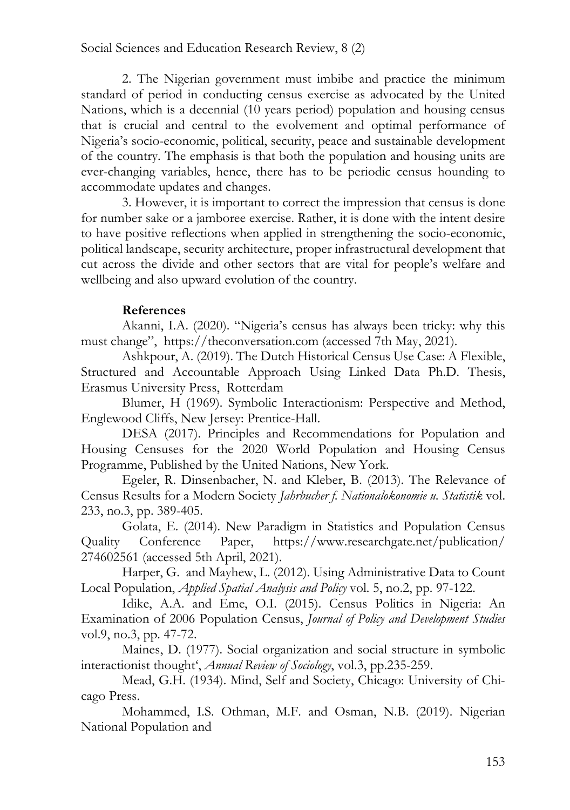2. The Nigerian government must imbibe and practice the minimum standard of period in conducting census exercise as advocated by the United Nations, which is a decennial (10 years period) population and housing census that is crucial and central to the evolvement and optimal performance of Nigeria's socio-economic, political, security, peace and sustainable development of the country. The emphasis is that both the population and housing units are ever-changing variables, hence, there has to be periodic census hounding to accommodate updates and changes.

3. However, it is important to correct the impression that census is done for number sake or a jamboree exercise. Rather, it is done with the intent desire to have positive reflections when applied in strengthening the socio-economic, political landscape, security architecture, proper infrastructural development that cut across the divide and other sectors that are vital for people's welfare and wellbeing and also upward evolution of the country.

### **References**

Akanni, I.A. (2020). "Nigeria's census has always been tricky: why this must change", https://theconversation.com (accessed 7th May, 2021).

Ashkpour, A. (2019). The Dutch Historical Census Use Case: A Flexible, Structured and Accountable Approach Using Linked Data Ph.D. Thesis, Erasmus University Press, Rotterdam

Blumer, H (1969). Symbolic Interactionism: Perspective and Method, Englewood Cliffs, New Jersey: Prentice-Hall.

DESA (2017). Principles and Recommendations for Population and Housing Censuses for the 2020 World Population and Housing Census Programme, Published by the United Nations, New York.

Egeler, R. Dinsenbacher, N. and Kleber, B. (2013). The Relevance of Census Results for a Modern Society *Jahrbucher f. Nationalokonomie u. Statistik* vol. 233, no.3, pp. 389-405.

Golata, E. (2014). New Paradigm in Statistics and Population Census Quality Conference Paper, https://www.researchgate.net/publication/ 274602561 (accessed 5th April, 2021).

Harper, G. and Mayhew, L. (2012). Using Administrative Data to Count Local Population, *Applied Spatial Analysis and Policy* vol. 5, no.2, pp. 97-122.

Idike, A.A. and Eme, O.I. (2015). Census Politics in Nigeria: An Examination of 2006 Population Census, *Journal of Policy and Development Studies* vol.9, no.3, pp. 47-72.

Maines, D. (1977). Social organization and social structure in symbolic interactionist thought', *Annual Review of Sociology*, vol.3, pp.235-259.

Mead, G.H. (1934). Mind, Self and Society, Chicago: University of Chicago Press.

Mohammed, I.S. Othman, M.F. and Osman, N.B. (2019). Nigerian National Population and